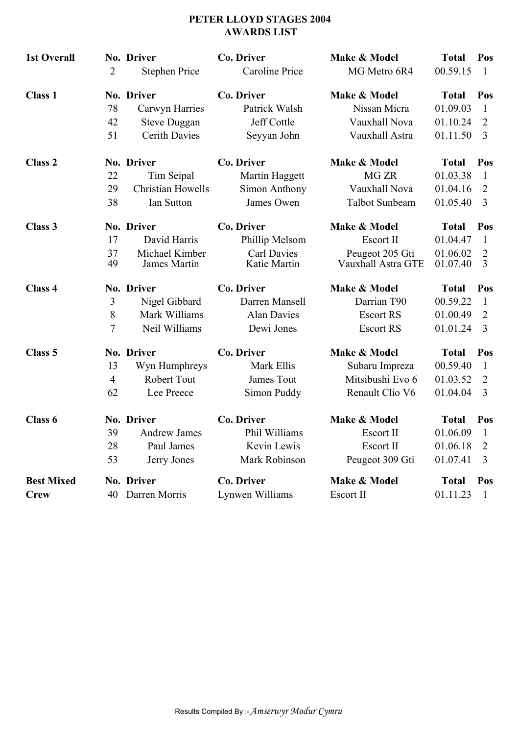## **PETER LLOYD STAGES 2004 AWARDS LIST**

| <b>1st Overall</b> | $\overline{2}$ | No. Driver<br><b>Stephen Price</b> | <b>Co. Driver</b><br>Caroline Price | Make & Model<br>MG Metro 6R4 | <b>Total</b><br>00.59.15 | Pos<br>-1      |
|--------------------|----------------|------------------------------------|-------------------------------------|------------------------------|--------------------------|----------------|
| <b>Class 1</b>     |                | No. Driver                         | Co. Driver                          | Make & Model                 | <b>Total</b>             | Pos            |
|                    | 78             | Carwyn Harries                     | Patrick Walsh                       | Nissan Micra                 | 01.09.03                 | 1              |
|                    | 42             | <b>Steve Duggan</b>                | Jeff Cottle                         | Vauxhall Nova                | 01.10.24                 | 2              |
|                    | 51             | <b>Cerith Davies</b>               | Seyyan John                         | Vauxhall Astra               | 01.11.50                 | 3              |
| <b>Class 2</b>     |                | No. Driver                         | <b>Co. Driver</b>                   | Make & Model                 | <b>Total</b>             | Pos            |
|                    | 22             | Tim Seipal                         | Martin Haggett                      | MG <sub>ZR</sub>             | 01.03.38                 | 1              |
|                    | 29             | <b>Christian Howells</b>           | Simon Anthony                       | Vauxhall Nova                | 01.04.16                 | 2              |
|                    | 38             | Ian Sutton                         | James Owen                          | Talbot Sunbeam               | 01.05.40                 | 3              |
| Class 3            |                | No. Driver                         | <b>Co. Driver</b>                   | Make & Model                 | <b>Total</b>             | Pos            |
|                    | 17             | David Harris                       | Phillip Melsom                      | Escort II                    | 01.04.47                 | $\mathbf{1}$   |
|                    | 37             | Michael Kimber                     | Carl Davies                         | Peugeot 205 Gti              | 01.06.02                 | 2              |
|                    | 49             | James Martin                       | Katie Martin                        | Vauxhall Astra GTE           | 01.07.40                 | $\overline{3}$ |
| Class 4            |                | No. Driver                         | <b>Co. Driver</b>                   | Make & Model                 | <b>Total</b>             | Pos            |
|                    | 3              | Nigel Gibbard                      | Darren Mansell                      | Darrian T90                  | 00.59.22                 | 1              |
|                    | 8              | Mark Williams                      | <b>Alan Davies</b>                  | <b>Escort RS</b>             | 01.00.49                 | $\overline{2}$ |
|                    | 7              | Neil Williams                      | Dewi Jones                          | <b>Escort RS</b>             | 01.01.24                 | $\overline{3}$ |
| Class 5            |                | No. Driver                         | <b>Co. Driver</b>                   | Make & Model                 | <b>Total</b>             | Pos            |
|                    | 13             | Wyn Humphreys                      | Mark Ellis                          | Subaru Impreza               | 00.59.40                 | 1              |
|                    | $\overline{4}$ | Robert Tout                        | James Tout                          | Mitsibushi Evo 6             | 01.03.52                 | 2              |
|                    | 62             | Lee Preece                         | Simon Puddy                         | Renault Clio V6              | 01.04.04                 | 3              |
| Class 6            |                | No. Driver                         | <b>Co. Driver</b>                   | Make & Model                 | <b>Total</b>             | Pos            |
|                    | 39             | Andrew James                       | Phil Williams                       | Escort II                    | 01.06.09                 | $\blacksquare$ |
|                    | 28             | Paul James                         | Kevin Lewis                         | Escort II                    | 01.06.18                 | 2              |
|                    | 53             | Jerry Jones                        | Mark Robinson                       | Peugeot 309 Gti              | 01.07.41                 | 3              |
| <b>Best Mixed</b>  |                | No. Driver                         | Co. Driver                          | Make & Model                 | <b>Total</b>             | Pos            |
| <b>Crew</b>        |                | 40 Darren Morris                   | Lynwen Williams                     | Escort II                    | 01.11.23                 | -1             |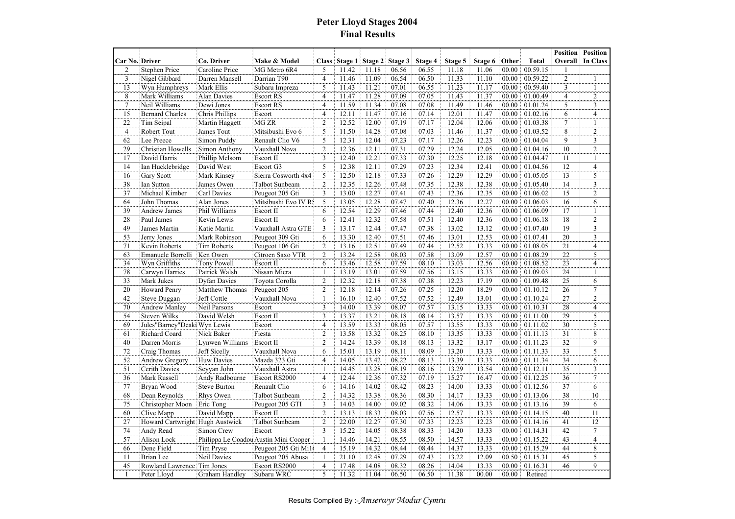## **Peter Lloyd Stages 2004 Final Results**

|                       |                                 |                     |                                       |                |         |         |         |         |         |         |       |              | <b>Position</b> | <b>Position</b> |
|-----------------------|---------------------------------|---------------------|---------------------------------------|----------------|---------|---------|---------|---------|---------|---------|-------|--------------|-----------------|-----------------|
| <b>Car No. Driver</b> |                                 | Co. Driver          | Make & Model                          | <b>Class</b>   | Stage 1 | Stage 2 | Stage 3 | Stage 4 | Stage 5 | Stage 6 | Other | <b>Total</b> | Overall         | In Class        |
| $\overline{c}$        | Stephen Price                   | Caroline Price      | MG Metro 6R4                          | 5              | 11.42   | 11.18   | 06.56   | 06.55   | 11.18   | 11.06   | 00.00 | 00.59.15     | 1               |                 |
| $\overline{3}$        | Nigel Gibbard                   | Darren Mansell      | Darrian T90                           | $\overline{4}$ | 11.46   | 11.09   | 06.54   | 06.50   | 11.33   | 11.10   | 00.00 | 00.59.22     | $\overline{2}$  | $\mathbf{1}$    |
| 13                    | Wyn Humphreys                   | Mark Ellis          | Subaru Impreza                        | 5              | 11.43   | 11.21   | 07.01   | 06.55   | 11.23   | 11.17   | 00.00 | 00.59.40     | 3               | $\mathbf{1}$    |
| 8                     | Mark Williams                   | Alan Davies         | <b>Escort RS</b>                      | $\overline{4}$ | 11.47   | 11.28   | 07.09   | 07.05   | 11.43   | 11.37   | 00.00 | 01.00.49     | $\overline{4}$  | $\overline{2}$  |
| $\overline{7}$        | Neil Williams                   | Dewi Jones          | <b>Escort RS</b>                      | $\overline{4}$ | 11.59   | 11.34   | 07.08   | 07.08   | 11.49   | 11.46   | 00.00 | 01.01.24     | 5               | 3               |
| 15                    | <b>Bernard Charles</b>          | Chris Phillips      | Escort                                | $\overline{4}$ | 12.11   | 11.47   | 07.16   | 07.14   | 12.01   | 11.47   | 00.00 | 01.02.16     | 6               | $\overline{4}$  |
| 22                    | Tim Seipal                      | Martin Haggett      | MG ZR                                 | $\overline{2}$ | 12.52   | 12.00   | 07.19   | 07.17   | 12.04   | 12.06   | 00.00 | 01.03.38     | $\tau$          | $\mathbf{1}$    |
| $\overline{4}$        | Robert Tout                     | James Tout          | Mitsibushi Evo 6                      | 5              | 11.50   | 14.28   | 07.08   | 07.03   | 11.46   | 11.37   | 00.00 | 01.03.52     | 8               | $\overline{c}$  |
| 62                    | Lee Preece                      | Simon Puddy         | Renault Clio V6                       | 5              | 12.31   | 12.04   | 07.23   | 07.17   | 12.26   | 12.23   | 00.00 | 01.04.04     | 9               | 3               |
| 29                    | Christian Howells               | Simon Anthony       | Vauxhall Nova                         | $\overline{c}$ | 12.36   | 12.11   | 07.31   | 07.29   | 12.24   | 12.05   | 00.00 | 01.04.16     | 10              | $\overline{c}$  |
| 17                    | David Harris                    | Phillip Melsom      | Escort II                             | 3              | 12.40   | 12.21   | 07.33   | 07.30   | 12.25   | 12.18   | 00.00 | 01.04.47     | 11              | 1               |
| 14                    | Ian Hucklebridge                | David West          | Escort G3                             | 5              | 12.38   | 12.11   | 07.29   | 07.23   | 12.34   | 12.41   | 00.00 | 01.04.56     | 12              | $\overline{4}$  |
| 16                    | Gary Scott                      | Mark Kinsey         | Sierra Cosworth 4x4                   | 5              | 12.50   | 12.18   | 07.33   | 07.26   | 12.29   | 12.29   | 00.00 | 01.05.05     | 13              | 5               |
| 38                    | Ian Sutton                      | James Owen          | <b>Talbot Sunbeam</b>                 | $\overline{2}$ | 12.35   | 12.26   | 07.48   | 07.35   | 12.38   | 12.38   | 00.00 | 01.05.40     | 14              | 3               |
| 37                    | Michael Kimber                  | Carl Davies         | Peugeot 205 Gti                       | 3              | 13.00   | 12.27   | 07.41   | 07.43   | 12.36   | 12.35   | 00.00 | 01.06.02     | 15              | $\overline{c}$  |
| 64                    | John Thomas                     | Alan Jones          | Mitsibushi Evo IV Rs                  | 5              | 13.05   | 12.28   | 07.47   | 07.40   | 12.36   | 12.27   | 00.00 | 01.06.03     | 16              | 6               |
| 39                    | Andrew James                    | Phil Williams       | Escort II                             | 6              | 12.54   | 12.29   | 07.46   | 07.44   | 12.40   | 12.36   | 00.00 | 01.06.09     | 17              | $\mathbf{1}$    |
| 28                    | Paul James                      | Kevin Lewis         | Escort II                             | 6              | 12.41   | 12.32   | 07.58   | 07.51   | 12.40   | 12.36   | 00.00 | 01.06.18     | 18              | $\overline{c}$  |
| 49                    | James Martin                    | Katie Martin        | Vauxhall Astra GTE                    | 3              | 13.17   | 12.44   | 07.47   | 07.38   | 13.02   | 13.12   | 00.00 | 01.07.40     | 19              | 3               |
| 53                    | Jerry Jones                     | Mark Robinson       | Peugeot 309 Gti                       | 6              | 13.30   | 12.40   | 07.51   | 07.46   | 13.01   | 12.53   | 00.00 | 01.07.41     | 20              | 3               |
| 71                    | Kevin Roberts                   | <b>Tim Roberts</b>  | Peugeot 106 Gti                       | $\overline{2}$ | 13.16   | 12.51   | 07.49   | 07.44   | 12.52   | 13.33   | 00.00 | 01.08.05     | 21              | 4               |
| 63                    | Emanuele Borrelli               | Ken Owen            | Citroen Saxo VTR                      | $\overline{c}$ | 13.24   | 12.58   | 08.03   | 07.58   | 13.09   | 12.57   | 00.00 | 01.08.29     | 22              | 5               |
| 34                    | Wyn Griffiths                   | Tony Powell         | Escort II                             | 6              | 13.46   | 12.58   | 07.59   | 08.10   | 13.03   | 12.56   | 00.00 | 01.08.52     | 23              | $\overline{4}$  |
| 78                    | Carwyn Harries                  | Patrick Walsh       | Nissan Micra                          | $\mathbf{1}$   | 13.19   | 13.01   | 07.59   | 07.56   | 13.15   | 13.33   | 00.00 | 01.09.03     | 24              | 1               |
| 33                    | Mark Jukes                      | <b>Dyfan Davies</b> | Toyota Corolla                        | $\overline{2}$ | 12.32   | 12.18   | 07.38   | 07.38   | 12.23   | 17.19   | 00.00 | 01.09.48     | 25              | 6               |
| 20                    | <b>Howard Penry</b>             | Matthew Thomas      | Peugeot 205                           | $\overline{2}$ | 12.18   | 12.14   | 07.26   | 07.25   | 12.20   | 18.29   | 00.00 | 01.10.12     | 26              | 7               |
| 42                    | <b>Steve Duggan</b>             | Jeff Cottle         | Vauxhall Nova                         | $\mathbf{1}$   | 16.10   | 12.40   | 07.52   | 07.52   | 12.49   | 13.01   | 00.00 | 01.10.24     | 27              | $\overline{c}$  |
| 70                    | <b>Andrew Manley</b>            | Neil Parsons        | Escort                                | 3              | 14.00   | 13.39   | 08.07   | 07.57   | 13.15   | 13.33   | 00.00 | 01.10.31     | 28              | $\overline{4}$  |
| 54                    | <b>Steven Wilks</b>             | David Welsh         | Escort II                             | $\overline{3}$ | 13.37   | 13.21   | 08.18   | 08.14   | 13.57   | 13.33   | 00.00 | 01.11.00     | 29              | 5               |
| 69                    | Jules"Barney"Deaki Wyn Lewis    |                     | Escort                                | $\overline{4}$ | 13.59   | 13.33   | 08.05   | 07.57   | 13.55   | 13.33   | 00.00 | 01.11.02     | 30              | 5               |
| 61                    | Richard Coard                   | Nick Baker          | Fiesta                                | $\overline{2}$ | 13.58   | 13.32   | 08.25   | 08.10   | 13.35   | 13.33   | 00.00 | 01.11.13     | 31              | 8               |
| 40                    | Darren Morris                   | Lynwen Williams     | Escort II                             | $\overline{2}$ | 14.24   | 13.39   | 08.18   | 08.13   | 13.32   | 13.17   | 00.00 | 01.11.23     | 32              | 9               |
| 72                    | Craig Thomas                    | Jeff Sicelly        | Vauxhall Nova                         | 6              | 15.01   | 13.19   | 08.11   | 08.09   | 13.20   | 13.33   | 00.00 | 01.11.33     | 33              | 5               |
| 52                    | Andrew Gregory                  | <b>Huw Davies</b>   | Mazda 323 Gti                         | $\overline{4}$ | 14.05   | 13.42   | 08.22   | 08.13   | 13.39   | 13.33   | 00.00 | 01.11.34     | 34              | 6               |
| $\overline{51}$       | Cerith Davies                   | Seyyan John         | Vauxhall Astra                        | $\mathbf{1}$   | 14.45   | 13.28   | 08.19   | 08.16   | 13.29   | 13.54   | 00.00 | 01.12.11     | 35              | 3               |
| 36                    | Mark Russell                    | Andy Radbourne      | Escort RS2000                         | $\overline{4}$ | 12.44   | 12.36   | 07.32   | 07.19   | 15.27   | 16.47   | 00.00 | 01.12.25     | 36              | $\overline{7}$  |
| 77                    | Bryan Wood                      | <b>Steve Burton</b> | Renault Clio                          | 6              | 14.16   | 14.02   | 08.42   | 08.23   | 14.00   | 13.33   | 00.00 | 01.12.56     | 37              | 6               |
| 68                    | Dean Reynolds                   | Rhys Owen           | <b>Talbot Sunbeam</b>                 | $\overline{2}$ | 14.32   | 13.38   | 08.36   | 08.30   | 14.17   | 13.33   | 00.00 | 01.13.06     | 38              | 10              |
| 75                    | Christopher Moon                | Eric Tong           | Peugeot 205 GTI                       | 3              | 14.03   | 14.00   | 09.02   | 08.32   | 14.06   | 13.33   | 00.00 | 01.13.16     | 39              | 6               |
| 60                    | Clive Mapp                      | David Mapp          | Escort II                             | $\overline{2}$ | 13.13   | 18.33   | 08.03   | 07.56   | 12.57   | 13.33   | 00.00 | 01.14.15     | 40              | 11              |
| 27                    | Howard Cartwright Hugh Austwick |                     | Talbot Sunbeam                        | $\overline{2}$ | 22.00   | 12.27   | 07.30   | 07.33   | 12.23   | 12.23   | 00.00 | 01.14.16     | 41              | 12              |
| 74                    | Andy Read                       | Simon Crew          | Escort                                | 3              | 15.22   | 14.05   | 08.38   | 08.33   | 14.20   | 13.33   | 00.00 | 01.14.31     | 42              | $\overline{7}$  |
| 57                    | Alison Lock                     |                     | Philippa Le Coadou Austin Mini Cooper | $\mathbf{1}$   | 14.46   | 14.21   | 08.55   | 08.50   | 14.57   | 13.33   | 00.00 | 01.15.22     | 43              | $\overline{4}$  |
| 66                    | Dene Field                      | Tim Pryse           | Peugeot 205 Gti Mi1                   | $\overline{4}$ | 15.19   | 14.32   | 08.44   | 08.44   | 14.37   | 13.33   | 00.00 | 01.15.29     | 44              | 8               |
| 11                    | Brian Lee                       | Neil Davies         | Peugeot 205 Abusa                     | $\mathbf{1}$   | 21.10   | 12.48   | 07.29   | 07.43   | 13.22   | 12.09   | 00.50 | 01.15.31     | 45              | 5               |
| 45                    | Rowland Lawrence                | Tim Jones           | Escort RS2000                         | $\overline{4}$ | 17.48   | 14.08   | 08.32   | 08.26   | 14.04   | 13.33   | 00.00 | 01.16.31     | 46              | 9               |
| $\mathbf{1}$          | Peter Lloyd                     | Graham Handley      | Subaru WRC                            | 5              | 11.32   | 11.04   | 06.50   | 06.50   | 11.38   | 00.00   | 00.00 | Retired      |                 |                 |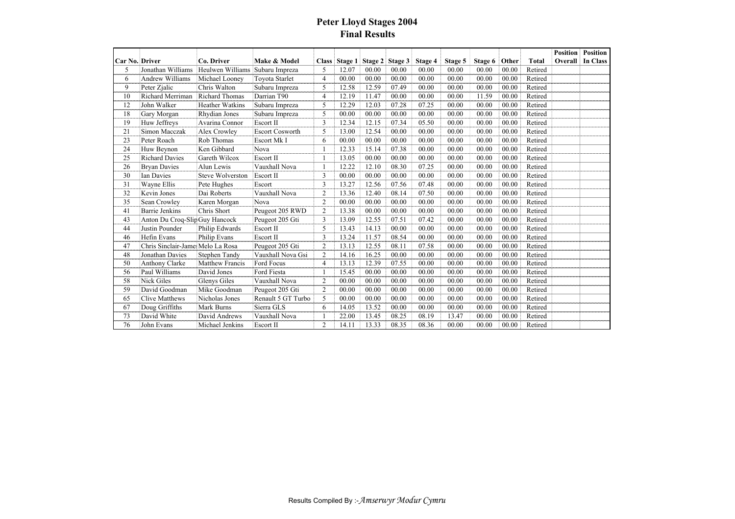## **Peter Lloyd Stages 2004 Final Results**

|                       |                                   |                         |                        |                |               |         |         |         |         |         |       |              | <b>Position</b> | <b>Position</b> |
|-----------------------|-----------------------------------|-------------------------|------------------------|----------------|---------------|---------|---------|---------|---------|---------|-------|--------------|-----------------|-----------------|
| <b>Car No. Driver</b> |                                   | Co. Driver              | Make & Model           |                | Class Stage 1 | Stage 2 | Stage 3 | Stage 4 | Stage 5 | Stage 6 | Other | <b>Total</b> | Overall         | <b>In Class</b> |
| 5                     | Jonathan Williams                 | Heulwen Williams        | Subaru Impreza         | 5              | 12.07         | 00.00   | 00.00   | 00.00   | 00.00   | 00.00   | 00.00 | Retired      |                 |                 |
| 6                     | <b>Andrew Williams</b>            | Michael Looney          | <b>Toyota Starlet</b>  | $\overline{4}$ | 00.00         | 00.00   | 00.00   | 00.00   | 00.00   | 00.00   | 00.00 | Retired      |                 |                 |
| 9                     | Peter Zialic                      | Chris Walton            | Subaru Impreza         | 5              | 12.58         | 12.59   | 07.49   | 00.00   | 00.00   | 00.00   | 00.00 | Retired      |                 |                 |
| 10                    | Richard Merriman                  | Richard Thomas          | Darrian T90            | $\overline{4}$ | 12.19         | 11.47   | 00.00   | 00.00   | 00.00   | 11.59   | 00.00 | Retired      |                 |                 |
| 12                    | John Walker                       | <b>Heather Watkins</b>  | Subaru Impreza         | 5              | 12.29         | 12.03   | 07.28   | 07.25   | 00.00   | 00.00   | 00.00 | Retired      |                 |                 |
| 18                    | Gary Morgan                       | Rhydian Jones           | Subaru Impreza         | 5              | 00.00         | 00.00   | 00.00   | 00.00   | 00.00   | 00.00   | 00.00 | Retired      |                 |                 |
| 19                    | Huw Jeffreys                      | Avarina Connor          | Escort II              | 3              | 12.34         | 12.15   | 07.34   | 05.50   | 00.00   | 00.00   | 00.00 | Retired      |                 |                 |
| 21                    | Simon Macczak                     | <b>Alex Crowley</b>     | <b>Escort Cosworth</b> | 5              | 13.00         | 12.54   | 00.00   | 00.00   | 00.00   | 00.00   | 00.00 | Retired      |                 |                 |
| 23                    | Peter Roach                       | Rob Thomas              | <b>Escort Mk I</b>     | 6              | 00.00         | 00.00   | 00.00   | 00.00   | 00.00   | 00.00   | 00.00 | Retired      |                 |                 |
| 24                    | Huw Beynon                        | Ken Gibbard             | Nova                   |                | 12.33         | 15.14   | 07.38   | 00.00   | 00.00   | 00.00   | 00.00 | Retired      |                 |                 |
| 25                    | <b>Richard Davies</b>             | Gareth Wilcox           | <b>Escort II</b>       |                | 13.05         | 00.00   | 00.00   | 00.00   | 00.00   | 00.00   | 00.00 | Retired      |                 |                 |
| 26                    | <b>Bryan Davies</b>               | Alun Lewis              | Vauxhall Nova          |                | 12.22         | 12.10   | 08.30   | 07.25   | 00.00   | 00.00   | 00.00 | Retired      |                 |                 |
| 30                    | <b>Ian Davies</b>                 | <b>Steve Wolverston</b> | Escort II              | 3              | 00.00         | 00.00   | 00.00   | 00.00   | 00.00   | 00.00   | 00.00 | Retired      |                 |                 |
| 31                    | Wayne Ellis                       | Pete Hughes             | Escort                 | 3              | 13.27         | 12.56   | 07.56   | 07.48   | 00.00   | 00.00   | 00.00 | Retired      |                 |                 |
| 32                    | Kevin Jones                       | Dai Roberts             | Vauxhall Nova          | $\overline{2}$ | 13.36         | 12.40   | 08.14   | 07.50   | 00.00   | 00.00   | 00.00 | Retired      |                 |                 |
| 35                    | Sean Crowley                      | Karen Morgan            | Nova                   | $\overline{2}$ | 00.00         | 00.00   | 00.00   | 00.00   | 00.00   | 00.00   | 00.00 | Retired      |                 |                 |
| 41                    | <b>Barrie Jenkins</b>             | Chris Short             | Peugeot 205 RWD        | $\overline{2}$ | 13.38         | 00.00   | 00.00   | 00.00   | 00.00   | 00.00   | 00.00 | Retired      |                 |                 |
| 43                    | Anton Du Croq-SlipGuy Hancock     |                         | Peugeot 205 Gti        | 3              | 13.09         | 12.55   | 07.51   | 07.42   | 00.00   | 00.00   | 00.00 | Retired      |                 |                 |
| 44                    | Justin Pounder                    | Philip Edwards          | <b>Escort II</b>       | 5              | 13.43         | 14.13   | 00.00   | 00.00   | 00.00   | 00.00   | 00.00 | Retired      |                 |                 |
| 46                    | Hefin Evans                       | Philip Evans            | Escort II              | 3              | 13.24         | 11.57   | 08.54   | 00.00   | 00.00   | 00.00   | 00.00 | Retired      |                 |                 |
| 47                    | Chris Sinclair-Jame: Melo La Rosa |                         | Peugeot 205 Gti        | $\overline{2}$ | 13.13         | 12.55   | 08.11   | 07.58   | 00.00   | 00.00   | 00.00 | Retired      |                 |                 |
| 48                    | Jonathan Davies                   | Stephen Tandy           | Vauxhall Nova Gsi      | $\overline{2}$ | 14.16         | 16.25   | 00.00   | 00.00   | 00.00   | 00.00   | 00.00 | Retired      |                 |                 |
| 50                    | Anthony Clarke                    | <b>Matthew Francis</b>  | Ford Focus             | 4              | 13.13         | 12.39   | 07.55   | 00.00   | 00.00   | 00.00   | 00.00 | Retired      |                 |                 |
| 56                    | Paul Williams                     | David Jones             | Ford Fiesta            |                | 15.45         | 00.00   | 00.00   | 00.00   | 00.00   | 00.00   | 00.00 | Retired      |                 |                 |
| 58                    | Nick Giles                        | Glenys Giles            | Vauxhall Nova          | $\overline{2}$ | 00.00         | 00.00   | 00.00   | 00.00   | 00.00   | 00.00   | 00.00 | Retired      |                 |                 |
| 59                    | David Goodman                     | Mike Goodman            | Peugeot 205 Gti        | $\overline{c}$ | 00.00         | 00.00   | 00.00   | 00.00   | 00.00   | 00.00   | 00.00 | Retired      |                 |                 |
| 65                    | <b>Clive Matthews</b>             | Nicholas Jones          | Renault 5 GT Turbo     | 5              | 00.00         | 00.00   | 00.00   | 00.00   | 00.00   | 00.00   | 00.00 | Retired      |                 |                 |
| 67                    | Doug Griffiths                    | Mark Burns              | Sierra GLS             | 6              | 14.05         | 13.52   | 00.00   | 00.00   | 00.00   | 00.00   | 00.00 | Retired      |                 |                 |
| 73                    | David White                       | David Andrews           | Vauxhall Nova          |                | 22.00         | 13.45   | 08.25   | 08.19   | 13.47   | 00.00   | 00.00 | Retired      |                 |                 |
| 76                    | John Evans                        | Michael Jenkins         | Escort II              | $\overline{2}$ | 14.11         | 13.33   | 08.35   | 08.36   | 00.00   | 00.00   | 00.00 | Retired      |                 |                 |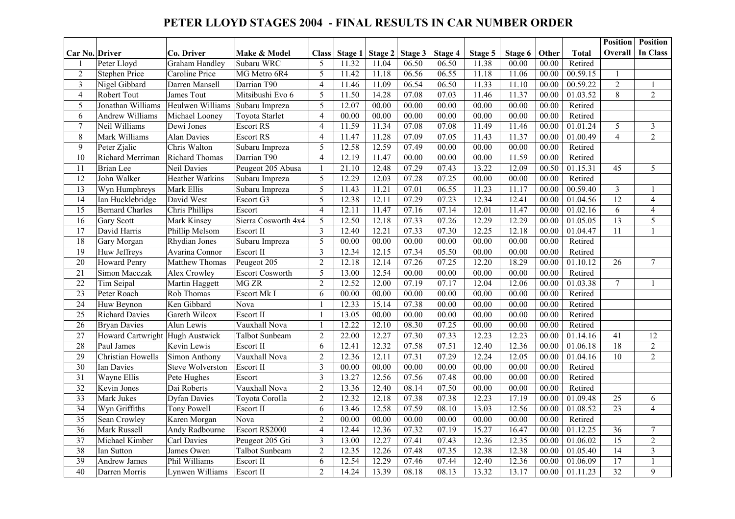#### **PETER LLOYD STAGES 2004 - FINAL RESULTS IN CAR NUMBER ORDER**

|                 |                                 |                         |                        |                         |         |         |         |                    |         |         |       |              | <b>Position</b> | <b>Position</b> |
|-----------------|---------------------------------|-------------------------|------------------------|-------------------------|---------|---------|---------|--------------------|---------|---------|-------|--------------|-----------------|-----------------|
| Car No. Driver  |                                 | Co. Driver              | Make & Model           | <b>Class</b>            | Stage 1 | Stage 2 | Stage 3 | Stage 4            | Stage 5 | Stage 6 | Other | <b>Total</b> | <b>Overall</b>  | In Class        |
| 1               | Peter Lloyd                     | <b>Graham Handley</b>   | Subaru WRC             | 5                       | 11.32   | 11.04   | 06.50   | 06.50              | 11.38   | 00.00   | 00.00 | Retired      |                 |                 |
| $\overline{2}$  | <b>Stephen Price</b>            | Caroline Price          | MG Metro 6R4           | 5                       | 11.42   | 11.18   | 06.56   | 06.55              | 11.18   | 11.06   | 00.00 | 00.59.15     | 1               |                 |
| $\overline{3}$  | Nigel Gibbard                   | Darren Mansell          | Darrian T90            | $\overline{4}$          | 11.46   | 11.09   | 06.54   | 06.50              | 11.33   | 11.10   | 00.00 | 00.59.22     | $\overline{c}$  | $\mathbf{1}$    |
| 4               | Robert Tout                     | James Tout              | Mitsibushi Evo 6       | 5                       | 11.50   | 14.28   | 07.08   | 07.03              | 11.46   | 11.37   | 00.00 | 01.03.52     | 8               | $\overline{2}$  |
| 5               | Jonathan Williams               | Heulwen Williams        | Subaru Impreza         | 5                       | 12.07   | 00.00   | 00.00   | 00.00              | 00.00   | 00.00   | 00.00 | Retired      |                 |                 |
| 6               | Andrew Williams                 | Michael Looney          | Toyota Starlet         | $\overline{4}$          | 00.00   | 00.00   | 00.00   | 00.00              | 00.00   | 00.00   | 00.00 | Retired      |                 |                 |
| $\overline{7}$  | Neil Williams                   | Dewi Jones              | <b>Escort RS</b>       | $\overline{4}$          | 11.59   | 11.34   | 07.08   | 07.08              | 11.49   | 11.46   | 00.00 | 01.01.24     | 5               | $\overline{3}$  |
| $\,8\,$         | Mark Williams                   | <b>Alan Davies</b>      | <b>Escort RS</b>       | $\overline{4}$          | 11.47   | 11.28   | 07.09   | 07.05              | 11.43   | 11.37   | 00.00 | 01.00.49     | $\overline{4}$  | $\overline{2}$  |
| 9               | Peter Zjalic                    | Chris Walton            | Subaru Impreza         | 5                       | 12.58   | 12.59   | 07.49   | 00.00              | 00.00   | 00.00   | 00.00 | Retired      |                 |                 |
| 10              | Richard Merriman                | <b>Richard Thomas</b>   | Darrian T90            | $\overline{4}$          | 12.19   | 11.47   | 00.00   | 00.00              | 00.00   | 11.59   | 00.00 | Retired      |                 |                 |
| 11              | <b>Brian</b> Lee                | Neil Davies             | Peugeot 205 Abusa      | 1                       | 21.10   | 12.48   | 07.29   | $\overline{07.43}$ | 13.22   | 12.09   | 00.50 | 01.15.31     | 45              | 5               |
| 12              | John Walker                     | <b>Heather Watkins</b>  | Subaru Impreza         | 5                       | 12.29   | 12.03   | 07.28   | 07.25              | 00.00   | 00.00   | 00.00 | Retired      |                 |                 |
| 13              | Wyn Humphreys                   | Mark Ellis              | Subaru Impreza         | 5                       | 11.43   | 11.21   | 07.01   | 06.55              | 11.23   | 11.17   | 00.00 | 00.59.40     | $\overline{3}$  | $\mathbf{1}$    |
| 14              | Ian Hucklebridge                | David West              | Escort G3              | $\overline{5}$          | 12.38   | 12.11   | 07.29   | 07.23              | 12.34   | 12.41   | 00.00 | 01.04.56     | $\overline{12}$ | $\overline{4}$  |
| $\overline{15}$ | <b>Bernard Charles</b>          | Chris Phillips          | Escort                 | $\overline{4}$          | 12.11   | 11.47   | 07.16   | 07.14              | 12.01   | 11.47   | 00.00 | 01.02.16     | 6               | $\overline{4}$  |
| 16              | <b>Gary Scott</b>               | Mark Kinsey             | Sierra Cosworth 4x4    | 5                       | 12.50   | 12.18   | 07.33   | 07.26              | 12.29   | 12.29   | 00.00 | 01.05.05     | $\overline{13}$ | 5               |
| 17              | David Harris                    | Phillip Melsom          | Escort II              | $\overline{\mathbf{3}}$ | 12.40   | 12.21   | 07.33   | 07.30              | 12.25   | 12.18   | 00.00 | 01.04.47     | $\overline{11}$ | $\mathbf{1}$    |
| 18              | Gary Morgan                     | Rhydian Jones           | Subaru Impreza         | $\overline{5}$          | 00.00   | 00.00   | 00.00   | 00.00              | 00.00   | 00.00   | 00.00 | Retired      |                 |                 |
| $\overline{19}$ | Huw Jeffreys                    | Avarina Connor          | Escort II              | 3                       | 12.34   | 12.15   | 07.34   | 05.50              | 00.00   | 00.00   | 00.00 | Retired      |                 |                 |
| $\overline{20}$ | <b>Howard Penry</b>             | <b>Matthew Thomas</b>   | Peugeot 205            | $\overline{2}$          | 12.18   | 12.14   | 07.26   | 07.25              | 12.20   | 18.29   | 00.00 | 01.10.12     | $\overline{26}$ | $\overline{7}$  |
| 21              | Simon Macczak                   | Alex Crowley            | <b>Escort Cosworth</b> | 5                       | 13.00   | 12.54   | 00.00   | 00.00              | 00.00   | 00.00   | 00.00 | Retired      |                 |                 |
| 22              | Tim Seipal                      | Martin Haggett          | <b>MG ZR</b>           | $\overline{2}$          | 12.52   | 12.00   | 07.19   | 07.17              | 12.04   | 12.06   | 00.00 | 01.03.38     | $\tau$          | $\mathbf{1}$    |
| $\overline{23}$ | Peter Roach                     | Rob Thomas              | Escort Mk I            | 6                       | 00.00   | 00.00   | 00.00   | 00.00              | 00.00   | 00.00   | 00.00 | Retired      |                 |                 |
| $\overline{24}$ | Huw Beynon                      | Ken Gibbard             | Nova                   | $\mathbf{1}$            | 12.33   | 15.14   | 07.38   | 00.00              | 00.00   | 00.00   | 00.00 | Retired      |                 |                 |
| 25              | <b>Richard Davies</b>           | Gareth Wilcox           | Escort II              | $\mathbf{1}$            | 13.05   | 00.00   | 00.00   | 00.00              | 00.00   | 00.00   | 00.00 | Retired      |                 |                 |
| $\overline{26}$ | <b>Bryan Davies</b>             | Alun Lewis              | Vauxhall Nova          | $\mathbf{1}$            | 12.22   | 12.10   | 08.30   | 07.25              | 00.00   | 00.00   | 00.00 | Retired      |                 |                 |
| 27              | Howard Cartwright Hugh Austwick |                         | Talbot Sunbeam         | $\overline{2}$          | 22.00   | 12.27   | 07.30   | 07.33              | 12.23   | 12.23   | 00.00 | 01.14.16     | $\overline{41}$ | 12              |
| 28              | Paul James                      | Kevin Lewis             | Escort II              | 6                       | 12.41   | 12.32   | 07.58   | 07.51              | 12.40   | 12.36   | 00.00 | 01.06.18     | 18              | $\overline{2}$  |
| $\overline{29}$ | Christian Howells               | Simon Anthony           | Vauxhall Nova          | $\overline{2}$          | 12.36   | 12.11   | 07.31   | 07.29              | 12.24   | 12.05   | 00.00 | 01.04.16     | $\overline{10}$ | $\overline{2}$  |
| $\overline{30}$ | Ian Davies                      | <b>Steve Wolverston</b> | Escort II              | $\overline{3}$          | 00.00   | 00.00   | 00.00   | 00.00              | 00.00   | 00.00   | 00.00 | Retired      |                 |                 |
| 31              | Wayne Ellis                     | Pete Hughes             | Escort                 | $\overline{3}$          | 13.27   | 12.56   | 07.56   | 07.48              | 00.00   | 00.00   | 00.00 | Retired      |                 |                 |
| $\overline{32}$ | Kevin Jones                     | Dai Roberts             | Vauxhall Nova          | $\overline{2}$          | 13.36   | 12.40   | 08.14   | 07.50              | 00.00   | 00.00   | 00.00 | Retired      |                 |                 |
| $\overline{33}$ | Mark Jukes                      | <b>Dyfan Davies</b>     | Toyota Corolla         | $\overline{2}$          | 12.32   | 12.18   | 07.38   | 07.38              | 12.23   | 17.19   | 00.00 | 01.09.48     | $\overline{25}$ | 6               |
| 34              | Wyn Griffiths                   | Tony Powell             | Escort II              | 6                       | 13.46   | 12.58   | 07.59   | 08.10              | 13.03   | 12.56   | 00.00 | 01.08.52     | 23              | $\overline{4}$  |
| $\overline{35}$ | Sean Crowley                    | Karen Morgan            | Nova                   | $\overline{2}$          | 00.00   | 00.00   | 00.00   | 00.00              | 00.00   | 00.00   | 00.00 | Retired      |                 |                 |
| $\overline{36}$ | Mark Russell                    | Andy Radbourne          | Escort RS2000          | $\overline{4}$          | 12.44   | 12.36   | 07.32   | 07.19              | 15.27   | 16.47   | 00.00 | 01.12.25     | $\overline{36}$ | $\overline{7}$  |
| 37              | Michael Kimber                  | Carl Davies             | Peugeot 205 Gti        | 3                       | 13.00   | 12.27   | 07.41   | 07.43              | 12.36   | 12.35   | 00.00 | 01.06.02     | 15              | $\overline{2}$  |
| 38              | Ian Sutton                      | James Owen              | <b>Talbot Sunbeam</b>  | $\overline{2}$          | 12.35   | 12.26   | 07.48   | 07.35              | 12.38   | 12.38   | 00.00 | 01.05.40     | $\overline{14}$ | $\overline{3}$  |
| 39              | <b>Andrew James</b>             | Phil Williams           | Escort II              | 6                       | 12.54   | 12.29   | 07.46   | 07.44              | 12.40   | 12.36   | 00.00 | 01.06.09     | 17              | $\mathbf{1}$    |
| $\overline{40}$ | Darren Morris                   | Lynwen Williams         | <b>Escort II</b>       | $\overline{c}$          | 14.24   | 13.39   | 08.18   | 08.13              | 13.32   | 13.17   | 00.00 | 01.11.23     | 32              | 9               |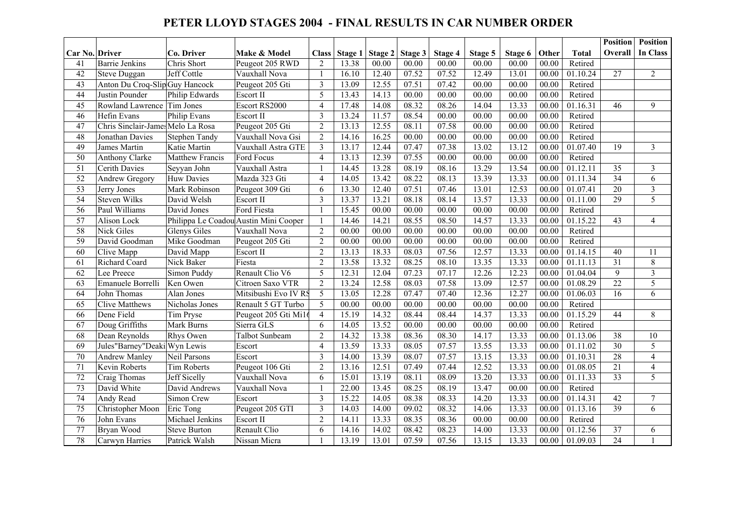#### **PETER LLOYD STAGES 2004 - FINAL RESULTS IN CAR NUMBER ORDER**

|                 |                                   |                      |                                       |                |         |         |         |         |         |         |       |                       | <b>Position</b> | <b>Position</b> |
|-----------------|-----------------------------------|----------------------|---------------------------------------|----------------|---------|---------|---------|---------|---------|---------|-------|-----------------------|-----------------|-----------------|
| Car No. Driver  |                                   | Co. Driver           | Make & Model                          | <b>Class</b>   | Stage 1 | Stage 2 | Stage 3 | Stage 4 | Stage 5 | Stage 6 | Other | <b>Total</b>          | Overall         | <b>In Class</b> |
| 41              | <b>Barrie Jenkins</b>             | Chris Short          | Peugeot 205 RWD                       | $\overline{2}$ | 13.38   | 00.00   | 00.00   | 00.00   | 00.00   | 00.00   | 00.00 | Retired               |                 |                 |
| 42              | Steve Duggan                      | Jeff Cottle          | Vauxhall Nova                         | $\overline{1}$ | 16.10   | 12.40   | 07.52   | 07.52   | 12.49   | 13.01   | 00.00 | 01.10.24              | 27              | $\overline{2}$  |
| 43              | Anton Du Croq-Slip Guy Hancock    |                      | Peugeot 205 Gti                       | $\overline{3}$ | 13.09   | 12.55   | 07.51   | 07.42   | 00.00   | 00.00   | 00.00 | Retired               |                 |                 |
| 44              | Justin Pounder                    | Philip Edwards       | Escort II                             | 5              | 13.43   | 14.13   | 00.00   | 00.00   | 00.00   | 00.00   | 00.00 | Retired               |                 |                 |
| 45              | Rowland Lawrence                  | Tim Jones            | Escort RS2000                         | $\overline{4}$ | 17.48   | 14.08   | 08.32   | 08.26   | 14.04   | 13.33   | 00.00 | 01.16.31              | 46              | 9               |
| 46              | Hefin Evans                       | Philip Evans         | <b>Escort II</b>                      | $\overline{3}$ | 13.24   | 11.57   | 08.54   | 00.00   | 00.00   | 00.00   | 00.00 | Retired               |                 |                 |
| 47              | Chris Sinclair-James Melo La Rosa |                      | Peugeot 205 Gti                       | $\overline{2}$ | 13.13   | 12.55   | 08.11   | 07.58   | 00.00   | 00.00   | 00.00 | Retired               |                 |                 |
| 48              | Jonathan Davies                   | <b>Stephen Tandy</b> | Vauxhall Nova Gsi                     | $\overline{2}$ | 14.16   | 16.25   | 00.00   | 00.00   | 00.00   | 00.00   | 00.00 | Retired               |                 |                 |
| 49              | James Martin                      | Katie Martin         | Vauxhall Astra GTE                    | $\overline{3}$ | 13.17   | 12.44   | 07.47   | 07.38   | 13.02   | 13.12   | 00.00 | 01.07.40              | 19              | $\overline{3}$  |
| 50              | <b>Anthony Clarke</b>             | Matthew Francis      | Ford Focus                            | $\overline{4}$ | 13.13   | 12.39   | 07.55   | 00.00   | 00.00   | 00.00   | 00.00 | Retired               |                 |                 |
| 51              | Cerith Davies                     | Seyyan John          | Vauxhall Astra                        | $\overline{1}$ | 14.45   | 13.28   | 08.19   | 08.16   | 13.29   | 13.54   | 00.00 | 01.12.11              | 35              | $\overline{3}$  |
| 52              | Andrew Gregory                    | <b>Huw Davies</b>    | Mazda 323 Gti                         | $\overline{4}$ | 14.05   | 13.42   | 08.22   | 08.13   | 13.39   | 13.33   | 00.00 | 01.11.34              | $\overline{34}$ | 6               |
| 53              | Jerry Jones                       | Mark Robinson        | Peugeot 309 Gti                       | 6              | 13.30   | 12.40   | 07.51   | 07.46   | 13.01   | 12.53   | 00.00 | 01.07.41              | 20              | $\overline{3}$  |
| 54              | <b>Steven Wilks</b>               | David Welsh          | Escort II                             | $\overline{3}$ | 13.37   | 13.21   | 08.18   | 08.14   | 13.57   | 13.33   | 00.00 | $\overline{01.1}1.00$ | $\overline{29}$ | 5               |
| $\overline{56}$ | Paul Williams                     | David Jones          | <b>Ford Fiesta</b>                    | $\overline{1}$ | 15.45   | 00.00   | 00.00   | 00.00   | 00.00   | 00.00   | 00.00 | Retired               |                 |                 |
| 57              | Alison Lock                       |                      | Philippa Le Coadou Austin Mini Cooper | $\overline{1}$ | 14.46   | 14.21   | 08.55   | 08.50   | 14.57   | 13.33   | 00.00 | 01.15.22              | 43              | $\overline{4}$  |
| $\overline{58}$ | <b>Nick Giles</b>                 | <b>Glenys Giles</b>  | Vauxhall Nova                         | $\overline{2}$ | 00.00   | 00.00   | 00.00   | 00.00   | 00.00   | 00.00   | 00.00 | Retired               |                 |                 |
| 59              | David Goodman                     | Mike Goodman         | Peugeot 205 Gti                       | 2              | 00.00   | 00.00   | 00.00   | 00.00   | 00.00   | 00.00   | 00.00 | Retired               |                 |                 |
| $\overline{60}$ | Clive Mapp                        | David Mapp           | Escort II                             | $\overline{2}$ | 13.13   | 18.33   | 08.03   | 07.56   | 12.57   | 13.33   | 00.00 | 01.14.15              | 40              | 11              |
| 61              | Richard Coard                     | Nick Baker           | Fiesta                                | $\overline{2}$ | 13.58   | 13.32   | 08.25   | 08.10   | 13.35   | 13.33   | 00.00 | $\overline{01.11.13}$ | 31              | 8               |
| 62              | Lee Preece                        | Simon Puddy          | Renault Clio V6                       | $\overline{5}$ | 12.31   | 12.04   | 07.23   | 07.17   | 12.26   | 12.23   | 00.00 | 01.04.04              | $\overline{9}$  | $\overline{3}$  |
| 63              | Emanuele Borrelli                 | Ken Owen             | Citroen Saxo VTR                      | $\overline{2}$ | 13.24   | 12.58   | 08.03   | 07.58   | 13.09   | 12.57   | 00.00 | 01.08.29              | $\overline{22}$ | 5               |
| 64              | John Thomas                       | Alan Jones           | Mitsibushi Evo IV RS                  | 5              | 13.05   | 12.28   | 07.47   | 07.40   | 12.36   | 12.27   | 00.00 | 01.06.03              | $\overline{16}$ | 6               |
| 65              | <b>Clive Matthews</b>             | Nicholas Jones       | Renault 5 GT Turbo                    | 5              | 00.00   | 00.00   | 00.00   | 00.00   | 00.00   | 00.00   | 00.00 | Retired               |                 |                 |
| 66              | Dene Field                        | Tim Pryse            | Peugeot 205 Gti Mi16                  | $\overline{4}$ | 15.19   | 14.32   | 08.44   | 08.44   | 14.37   | 13.33   | 00.00 | 01.15.29              | 44              | 8               |
| 67              | Doug Griffiths                    | Mark Burns           | Sierra GLS                            | 6              | 14.05   | 13.52   | 00.00   | 00.00   | 00.00   | 00.00   | 00.00 | Retired               |                 |                 |
| 68              | Dean Reynolds                     | Rhys Owen            | Talbot Sunbeam                        | $\overline{2}$ | 14.32   | 13.38   | 08.36   | 08.30   | 14.17   | 13.33   | 00.00 | 01.13.06              | $\overline{38}$ | 10              |
| 69              | Jules"Barney"Deaki Wyn Lewis      |                      | Escort                                | $\overline{4}$ | 13.59   | 13.33   | 08.05   | 07.57   | 13.55   | 13.33   | 00.00 | 01.11.02              | 30              | 5               |
| $\overline{70}$ | Andrew Manley                     | Neil Parsons         | Escort                                | $\overline{3}$ | 14.00   | 13.39   | 08.07   | 07.57   | 13.15   | 13.33   | 00.00 | 01.10.31              | 28              | $\overline{4}$  |
| 71              | Kevin Roberts                     | <b>Tim Roberts</b>   | Peugeot 106 Gti                       | $\overline{2}$ | 13.16   | 12.51   | 07.49   | 07.44   | 12.52   | 13.33   | 00.00 | 01.08.05              | $\overline{21}$ | $\overline{4}$  |
| $\overline{72}$ | Craig Thomas                      | Jeff Sicelly         | Vauxhall Nova                         | 6              | 15.01   | 13.19   | 08.11   | 08.09   | 13.20   | 13.33   | 00.00 | 01.11.33              | 33              | $\overline{5}$  |
| 73              | David White                       | David Andrews        | Vauxhall Nova                         | $\overline{1}$ | 22.00   | 13.45   | 08.25   | 08.19   | 13.47   | 00.00   | 00.00 | Retired               |                 |                 |
| $\overline{74}$ | Andy Read                         | Simon Crew           | Escort                                | $\overline{3}$ | 15.22   | 14.05   | 08.38   | 08.33   | 14.20   | 13.33   | 00.00 | 01.14.31              | 42              | $\tau$          |
| 75              | Christopher Moon                  | Eric Tong            | Peugeot 205 GTI                       | $\mathfrak{Z}$ | 14.03   | 14.00   | 09.02   | 08.32   | 14.06   | 13.33   | 00.00 | 01.13.16              | 39              | 6               |
| 76              | John Evans                        | Michael Jenkins      | Escort II                             | $\overline{2}$ | 14.11   | 13.33   | 08.35   | 08.36   | 00.00   | 00.00   | 00.00 | Retired               |                 |                 |
| 77              | Bryan Wood                        | Steve Burton         | Renault Clio                          | 6              | 14.16   | 14.02   | 08.42   | 08.23   | 14.00   | 13.33   | 00.00 | 01.12.56              | 37              | 6               |
| 78              | Carwyn Harries                    | Patrick Walsh        | Nissan Micra                          |                | 13.19   | 13.01   | 07.59   | 07.56   | 13.15   | 13.33   | 00.00 | 01.09.03              | 24              |                 |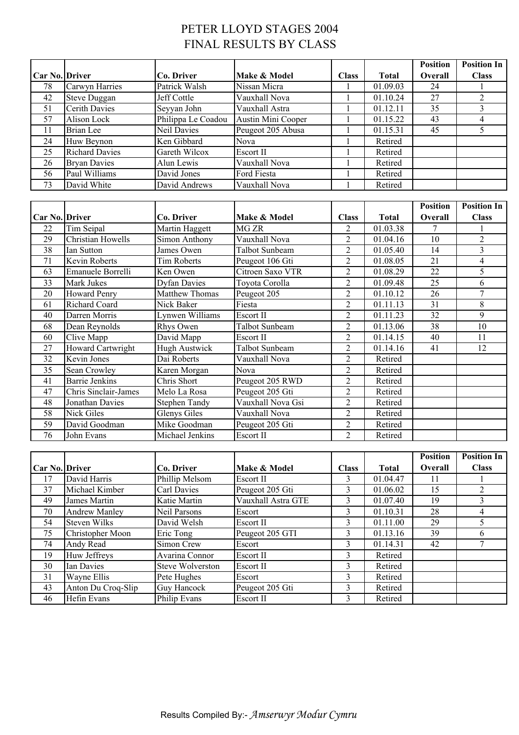# PETER LLOYD STAGES 2004 FINAL RESULTS BY CLASS

|                       |                          |                     |                       |                         |              | <b>Position</b> | <b>Position In</b> |
|-----------------------|--------------------------|---------------------|-----------------------|-------------------------|--------------|-----------------|--------------------|
| Car No. Driver        |                          | Co. Driver          | Make & Model          | <b>Class</b>            | <b>Total</b> | Overall         | <b>Class</b>       |
| 78                    | Carwyn Harries           | Patrick Walsh       | Nissan Micra          | $\mathbf{1}$            | 01.09.03     | 24              | $\mathbf{1}$       |
| 42                    | <b>Steve Duggan</b>      | Jeff Cottle         | Vauxhall Nova         | $\mathbf{1}$            | 01.10.24     | $\overline{27}$ | $\overline{2}$     |
| 51                    | <b>Cerith Davies</b>     | Seyyan John         | Vauxhall Astra        | $\mathbf{1}$            | 01.12.11     | 35              | $\overline{3}$     |
| $\overline{57}$       | Alison Lock              | Philippa Le Coadou  | Austin Mini Cooper    | $\mathbf{1}$            | 01.15.22     | 43              | $\overline{4}$     |
| 11                    | <b>Brian Lee</b>         | Neil Davies         | Peugeot 205 Abusa     | $\mathbf{1}$            | 01.15.31     | 45              | 5                  |
| 24                    | Huw Beynon               | Ken Gibbard         | Nova                  | $\mathbf{1}$            | Retired      |                 |                    |
| 25                    | <b>Richard Davies</b>    | Gareth Wilcox       | Escort II             | $\mathbf{1}$            | Retired      |                 |                    |
| 26                    | <b>Bryan Davies</b>      | Alun Lewis          | Vauxhall Nova         | $\mathbf{1}$            | Retired      |                 |                    |
| 56                    | Paul Williams            | David Jones         | Ford Fiesta           | $\mathbf{1}$            | Retired      |                 |                    |
| 73                    | David White              | David Andrews       | Vauxhall Nova         | $\mathbf{1}$            | Retired      |                 |                    |
|                       |                          |                     |                       |                         |              |                 |                    |
|                       |                          |                     |                       |                         |              | <b>Position</b> | <b>Position In</b> |
| Car No. Driver        |                          | Co. Driver          | Make & Model          | <b>Class</b>            | <b>Total</b> | Overall         | <b>Class</b>       |
| 22                    | Tim Seipal               | Martin Haggett      | MG ZR                 | $\overline{c}$          | 01.03.38     | $\overline{7}$  | $\mathbf{1}$       |
| $\overline{29}$       | Christian Howells        | Simon Anthony       | Vauxhall Nova         | $\overline{2}$          | 01.04.16     | 10              | $\overline{2}$     |
| 38                    | <b>Ian Sutton</b>        | James Owen          | Talbot Sunbeam        | $\overline{2}$          | 01.05.40     | $\overline{14}$ | $\overline{3}$     |
| 71                    | <b>Kevin Roberts</b>     | <b>Tim Roberts</b>  | Peugeot 106 Gti       | $\overline{2}$          | 01.08.05     | $\overline{21}$ | $\overline{4}$     |
| 63                    | Emanuele Borrelli        | Ken Owen            | Citroen Saxo VTR      | $\overline{2}$          | 01.08.29     | $\overline{22}$ | 5                  |
| 33                    | <b>Mark Jukes</b>        | <b>Dyfan Davies</b> | Toyota Corolla        | $\overline{2}$          | 01.09.48     | $\overline{25}$ | $\overline{6}$     |
| 20                    | <b>Howard Penry</b>      | Matthew Thomas      | Peugeot 205           | $\boldsymbol{2}$        | 01.10.12     | 26              | $\overline{7}$     |
| 61                    | <b>Richard Coard</b>     | Nick Baker          | Fiesta                | $\overline{c}$          | 01.11.13     | $\overline{31}$ | $8\,$              |
| 40                    | Darren Morris            | Lynwen Williams     | Escort II             | $\overline{2}$          | 01.11.23     | 32              | $\overline{9}$     |
| 68                    | Dean Reynolds            | Rhys Owen           | <b>Talbot Sunbeam</b> | $\overline{c}$          | 01.13.06     | 38              | $\overline{10}$    |
| 60                    | Clive Mapp               | David Mapp          | Escort II             | $\overline{c}$          | 01.14.15     | 40              | 11                 |
| 27                    | <b>Howard Cartwright</b> | Hugh Austwick       | <b>Talbot Sunbeam</b> | $\overline{2}$          | 01.14.16     | $\overline{41}$ | $\overline{12}$    |
| 32                    | Kevin Jones              | Dai Roberts         | Vauxhall Nova         | $\overline{c}$          | Retired      |                 |                    |
| 35                    | Sean Crowley             | Karen Morgan        | Nova                  | $\overline{c}$          | Retired      |                 |                    |
| 41                    | <b>Barrie Jenkins</b>    | Chris Short         | Peugeot 205 RWD       | $\overline{2}$          | Retired      |                 |                    |
| 47                    | Chris Sinclair-James     | Melo La Rosa        | Peugeot 205 Gti       | $\overline{2}$          | Retired      |                 |                    |
| 48                    | Jonathan Davies          | Stephen Tandy       | Vauxhall Nova Gsi     | $\overline{2}$          | Retired      |                 |                    |
| $\overline{58}$       | <b>Nick Giles</b>        | <b>Glenys Giles</b> | Vauxhall Nova         | $\overline{2}$          | Retired      |                 |                    |
| 59                    | David Goodman            | Mike Goodman        | Peugeot 205 Gti       | $\overline{c}$          | Retired      |                 |                    |
| $\overline{76}$       | John Evans               | Michael Jenkins     | Escort II             | $\overline{2}$          | Retired      |                 |                    |
|                       |                          |                     |                       |                         |              |                 |                    |
|                       |                          |                     |                       |                         |              | <b>Position</b> | <b>Position In</b> |
| <b>Car No. Driver</b> |                          | Co. Driver          | Make & Model          | <b>Class</b>            | <b>Total</b> | Overall         | <b>Class</b>       |
| 17                    | David Harris             | Phillip Melsom      | Escort II             | 3                       | 01.04.47     | 11              |                    |
| 37                    | Michael Kimber           | Carl Davies         | Peugeot 205 Gti       | 3                       | 01.06.02     | 15              | $\overline{2}$     |
| 49                    | James Martin             | Katie Martin        | Vauxhall Astra GTE    | 3                       | 01.07.40     | 19              | 3                  |
| 70                    | <b>Andrew Manley</b>     | Neil Parsons        | Escort                | 3                       | 01.10.31     | 28              | $\overline{4}$     |
| 54                    | <b>Steven Wilks</b>      | David Welsh         | Escort II             | $\overline{\mathbf{3}}$ | 01.11.00     | 29              | $\overline{5}$     |
| 75                    | Christopher Moon         | Eric Tong           | Peugeot 205 GTI       | 3                       | 01.13.16     | 39              | 6                  |
| 74                    | Andy Read                | Simon Crew          | Escort                | 3                       | 01.14.31     | 42              | $\tau$             |
| 19                    | Huw Jeffreys             | Avarina Connor      | Escort II             | 3                       | Retired      |                 |                    |
| 30                    | Ian Davies               | Steve Wolverston    | Escort II             | 3                       | Retired      |                 |                    |
| 31                    | Wayne Ellis              | Pete Hughes         | Escort                | $\mathfrak{Z}$          | Retired      |                 |                    |
| 43                    | Anton Du Croq-Slip       | Guy Hancock         | Peugeot 205 Gti       | $\overline{\mathbf{3}}$ | Retired      |                 |                    |

46 Hefin Evans Philip Evans Escort II 3 Retired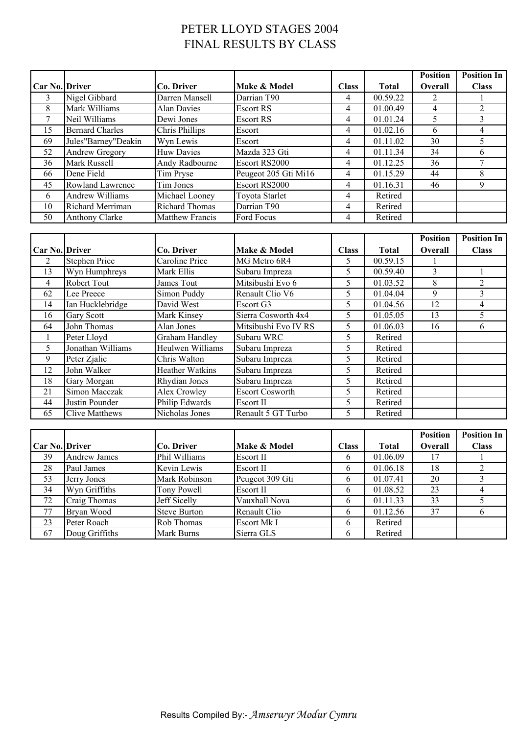# PETER LLOYD STAGES 2004 FINAL RESULTS BY CLASS

|                       |                         |                        |                      |              |              | <b>Position</b> | <b>Position In</b> |
|-----------------------|-------------------------|------------------------|----------------------|--------------|--------------|-----------------|--------------------|
| <b>Car No. Driver</b> |                         | Co. Driver             | Make & Model         | <b>Class</b> | <b>Total</b> | <b>Overall</b>  | <b>Class</b>       |
| 3                     | Nigel Gibbard           | Darren Mansell         | Darrian T90          | 4            | 00.59.22     | 2               |                    |
| 8                     | Mark Williams           | Alan Davies            | <b>Escort RS</b>     | 4            | 01.00.49     | 4               |                    |
|                       | Neil Williams           | Dewi Jones             | Escort RS            | 4            | 01.01.24     | 5               |                    |
| 15                    | <b>Bernard Charles</b>  | Chris Phillips         | Escort               | 4            | 01.02.16     | 6               | 4                  |
| 69                    | Jules"Barney"Deakin     | Wyn Lewis              | Escort               | 4            | 01.11.02     | 30              |                    |
| 52                    | <b>Andrew Gregory</b>   | <b>Huw Davies</b>      | Mazda 323 Gti        | 4            | 01.11.34     | 34              | h.                 |
| 36                    | Mark Russell            | Andy Radbourne         | Escort RS2000        | 4            | 01.12.25     | 36              |                    |
| 66                    | Dene Field              | Tim Pryse              | Peugeot 205 Gti Mi16 | 4            | 01.15.29     | 44              | 8                  |
| 45                    | <b>Rowland Lawrence</b> | Tim Jones              | Escort RS2000        | 4            | 01.16.31     | 46              | 9                  |
| 6                     | <b>Andrew Williams</b>  | Michael Looney         | Toyota Starlet       | 4            | Retired      |                 |                    |
| 10                    | Richard Merriman        | <b>Richard Thomas</b>  | Darrian T90          | 4            | Retired      |                 |                    |
| 50                    | <b>Anthony Clarke</b>   | <b>Matthew Francis</b> | Ford Focus           | 4            | Retired      |                 |                    |

|                       |                       |                        |                        |              |              | <b>Position</b> | <b>Position In</b> |
|-----------------------|-----------------------|------------------------|------------------------|--------------|--------------|-----------------|--------------------|
| <b>Car No. Driver</b> |                       | Co. Driver             | Make & Model           | <b>Class</b> | <b>Total</b> | <b>Overall</b>  | <b>Class</b>       |
| $\overline{2}$        | <b>Stephen Price</b>  | Caroline Price         | MG Metro 6R4           | 5.           | 00.59.15     |                 |                    |
| 13                    | Wyn Humphreys         | Mark Ellis             | Subaru Impreza         | 5            | 00.59.40     | 3               |                    |
| 4                     | <b>Robert Tout</b>    | James Tout             | Mitsibushi Evo 6       | 5            | 01.03.52     | 8               | 2                  |
| 62                    | Lee Preece            | Simon Puddy            | Renault Clio V6        | 5.           | 01.04.04     | 9               | $\mathcal{E}$      |
| 14                    | Ian Hucklebridge      | David West             | Escort G3              | 5            | 01.04.56     | 12              | 4                  |
| 16                    | <b>Gary Scott</b>     | Mark Kinsey            | Sierra Cosworth 4x4    | 5.           | 01.05.05     | 13              | 5.                 |
| 64                    | John Thomas           | Alan Jones             | Mitsibushi Evo IV RS   | 5            | 01.06.03     | 16              | 6                  |
|                       | Peter Lloyd           | Graham Handley         | Subaru WRC             | 5            | Retired      |                 |                    |
| 5                     | Jonathan Williams     | Heulwen Williams       | Subaru Impreza         | 5            | Retired      |                 |                    |
| 9                     | Peter Zjalic          | Chris Walton           | Subaru Impreza         | 5            | Retired      |                 |                    |
| 12                    | John Walker           | <b>Heather Watkins</b> | Subaru Impreza         | 5            | Retired      |                 |                    |
| 18                    | Gary Morgan           | Rhydian Jones          | Subaru Impreza         | 5            | Retired      |                 |                    |
| 21                    | Simon Macczak         | Alex Crowley           | <b>Escort Cosworth</b> | 5            | Retired      |                 |                    |
| 44                    | Justin Pounder        | Philip Edwards         | Escort II              | 5            | Retired      |                 |                    |
| 65                    | <b>Clive Matthews</b> | Nicholas Jones         | Renault 5 GT Turbo     | 5            | Retired      |                 |                    |

|                       |                     |                     |                  |               |              | <b>Position</b> | <b>Position In</b> |
|-----------------------|---------------------|---------------------|------------------|---------------|--------------|-----------------|--------------------|
| <b>Car No. Driver</b> |                     | Co. Driver          | Make & Model     | <b>Class</b>  | <b>Total</b> | <b>Overall</b>  | <b>Class</b>       |
| 39                    | <b>Andrew James</b> | Phil Williams       | Escort II        | b             | 01.06.09     | 17              |                    |
| 28                    | Paul James          | Kevin Lewis         | <b>Escort II</b> | 6             | 01.06.18     | 18              |                    |
| 53                    | Jerry Jones         | Mark Robinson       | Peugeot 309 Gti  | $\mathfrak b$ | 01.07.41     | 20              |                    |
| 34                    | Wyn Griffiths       | Tony Powell         | Escort II        | 6             | 01.08.52     | 23              |                    |
| 72                    | Craig Thomas        | Jeff Sicelly        | Vauxhall Nova    | <sub>0</sub>  | 01.11.33     | 33              |                    |
| 77                    | Bryan Wood          | <b>Steve Burton</b> | Renault Clio     | 6             | 01.12.56     | 37              |                    |
| 23                    | Peter Roach         | Rob Thomas          | Escort Mk I      | 6             | Retired      |                 |                    |
| 67                    | Doug Griffiths      | Mark Burns          | Sierra GLS       | $\mathfrak b$ | Retired      |                 |                    |